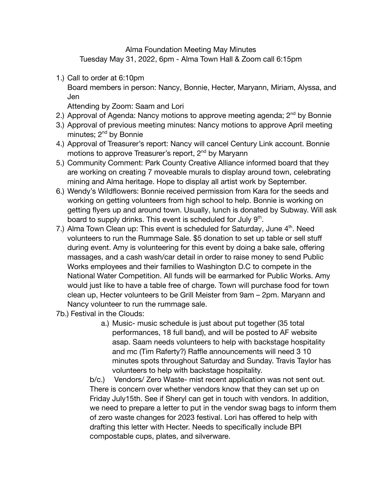Alma Foundation Meeting May Minutes Tuesday May 31, 2022, 6pm - Alma Town Hall & Zoom call 6:15pm

1.) Call to order at 6:10pm

Board members in person: Nancy, Bonnie, Hecter, Maryann, Miriam, Alyssa, and Jen

Attending by Zoom: Saam and Lori

- 2.) Approval of Agenda: Nancy motions to approve meeting agenda; 2<sup>nd</sup> by Bonnie
- 3.) Approval of previous meeting minutes: Nancy motions to approve April meeting minutes; 2<sup>nd</sup> by Bonnie
- 4.) Approval of Treasurer's report: Nancy will cancel Century Link account. Bonnie motions to approve Treasurer's report, 2<sup>nd</sup> by Maryann
- 5.) Community Comment: Park County Creative Alliance informed board that they are working on creating 7 moveable murals to display around town, celebrating mining and Alma heritage. Hope to display all artist work by September.
- 6.) Wendy's Wildflowers: Bonnie received permission from Kara for the seeds and working on getting volunteers from high school to help. Bonnie is working on getting flyers up and around town. Usually, lunch is donated by Subway. Will ask board to supply drinks. This event is scheduled for July  $9<sup>th</sup>$ .
- 7.) Alma Town Clean up: This event is scheduled for Saturday, June  $4<sup>th</sup>$ . Need volunteers to run the Rummage Sale. \$5 donation to set up table or sell stuff during event. Amy is volunteering for this event by doing a bake sale, offering massages, and a cash wash/car detail in order to raise money to send Public Works employees and their families to Washington D.C to compete in the National Water Competition. All funds will be earmarked for Public Works. Amy would just like to have a table free of charge. Town will purchase food for town clean up, Hecter volunteers to be Grill Meister from 9am – 2pm. Maryann and Nancy volunteer to run the rummage sale.
- 7b.) Festival in the Clouds:
	- a.) Music- music schedule is just about put together (35 total performances, 18 full band), and will be posted to AF website asap. Saam needs volunteers to help with backstage hospitality and mc (Tim Raferty?) Raffle announcements will need 3 10 minutes spots throughout Saturday and Sunday. Travis Taylor has volunteers to help with backstage hospitality.

b/c.) Vendors/ Zero Waste- mist recent application was not sent out. There is concern over whether vendors know that they can set up on Friday July15th. See if Sheryl can get in touch with vendors. In addition, we need to prepare a letter to put in the vendor swag bags to inform them of zero waste changes for 2023 festival. Lori has offered to help with drafting this letter with Hecter. Needs to specifically include BPI compostable cups, plates, and silverware.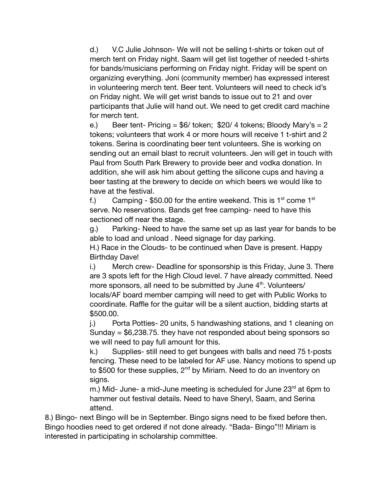d.) V.C Julie Johnson- We will not be selling t-shirts or token out of merch tent on Friday night. Saam will get list together of needed t-shirts for bands/musicians performing on Friday night. Friday will be spent on organizing everything. Joni (community member) has expressed interest in volunteering merch tent. Beer tent. Volunteers will need to check id's on Friday night. We will get wrist bands to issue out to 21 and over participants that Julie will hand out. We need to get credit card machine for merch tent.

e.) Beer tent- Pricing =  $$6/$  token;  $$20/4$  tokens; Bloody Mary's = 2 tokens; volunteers that work 4 or more hours will receive 1 t-shirt and 2 tokens. Serina is coordinating beer tent volunteers. She is working on sending out an email blast to recruit volunteers. Jen will get in touch with Paul from South Park Brewery to provide beer and vodka donation. In addition, she will ask him about getting the silicone cups and having a beer tasting at the brewery to decide on which beers we would like to have at the festival.

f.) Camping - \$50.00 for the entire weekend. This is  $1<sup>st</sup>$  come  $1<sup>st</sup>$ serve. No reservations. Bands get free camping- need to have this sectioned off near the stage.

g.) Parking- Need to have the same set up as last year for bands to be able to load and unload . Need signage for day parking.

H.) Race in the Clouds- to be continued when Dave is present. Happy Birthday Dave!

i.) Merch crew- Deadline for sponsorship is this Friday, June 3. There are 3 spots left for the High Cloud level. 7 have already committed. Need more sponsors, all need to be submitted by June 4<sup>th</sup>. Volunteers/ locals/AF board member camping will need to get with Public Works to coordinate. Raffle for the guitar will be a silent auction, bidding starts at \$500.00.

j.) Porta Potties- 20 units, 5 handwashing stations, and 1 cleaning on Sunday  $= $6,238.75$ . they have not responded about being sponsors so we will need to pay full amount for this.

k.) Supplies- still need to get bungees with balls and need 75 t-posts fencing. These need to be labeled for AF use. Nancy motions to spend up to \$500 for these supplies, 2<sup>nd</sup> by Miriam. Need to do an inventory on signs.

m.) Mid- June- a mid-June meeting is scheduled for June  $23<sup>rd</sup>$  at 6pm to hammer out festival details. Need to have Sheryl, Saam, and Serina attend.

8.) Bingo- next Bingo will be in September. Bingo signs need to be fixed before then. Bingo hoodies need to get ordered if not done already. "Bada- Bingo"!!! Miriam is interested in participating in scholarship committee.